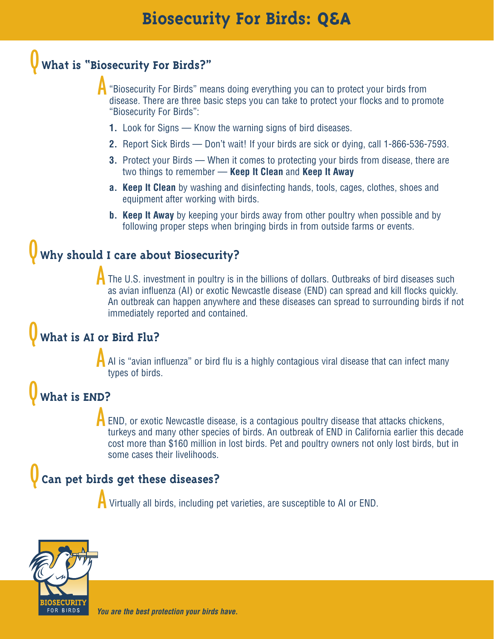### Q **What is "Biosecurity For Birds?"**

"Biosecurity For Birds" means doing everything you can to protect your birds from disease. There are three basic steps you can take to protect your flocks and to promote "Biosecurity For Birds": A

- **1.** Look for Signs Know the warning signs of bird diseases.
- **2.** Report Sick Birds Don't wait! If your birds are sick or dying, call 1-866-536-7593.
- **3.** Protect your Birds When it comes to protecting your birds from disease, there are two things to remember — **Keep It Clean** and **Keep It Away**
- **a. Keep It Clean** by washing and disinfecting hands, tools, cages, clothes, shoes and equipment after working with birds.
- **b. Keep It Away** by keeping your birds away from other poultry when possible and by following proper steps when bringing birds in from outside farms or events.

### Why should I care about Biosecurity?

The U.S. investment in poultry is in the billions of dollars. Outbreaks of bird diseases such as avian influenza (AI) or exotic Newcastle disease (END) can spread and kill flocks quickly. An outbreak can happen anywhere and these diseases can spread to surrounding birds if not immediately reported and contained. A

#### What is AI or Bird Flu?

AI is "avian influenza" or bird flu is a highly contagious viral disease that can infect many types of birds. A

# What is **END?** A

END, or exotic Newcastle disease, is a contagious poultry disease that attacks chickens, turkeys and many other species of birds. An outbreak of END in California earlier this decade cost more than \$160 million in lost birds. Pet and poultry owners not only lost birds, but in some cases their livelihoods.

#### Can pet birds get these diseases?

A Virtually all birds, including pet varieties, are susceptible to AI or END.



**You are the best protection your birds have.**